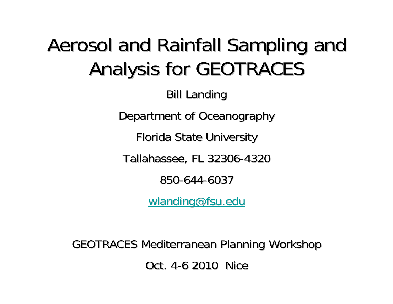#### Aerosol and Rainfall Sampling and Analysis for GEOTRACES

**Bill Landing** 

Department of Oceanography

Florida State University

Tallahassee, FL 32306-4320

850-644-6037

[wlanding@fsu.edu](mailto:wlanding@fsu.edu)

GEOTRACES Mediterranean Planning Workshop GEOTRACES Mediterranean Planning Workshop Oct. 4-6 2010 Nice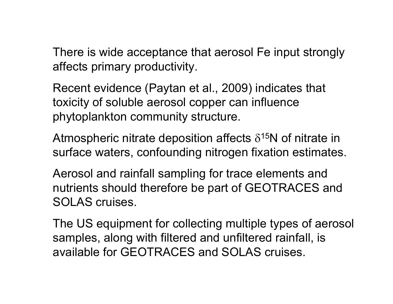There is wide acceptance that aerosol Fe input strongly affects primary productivity.

Recent evidence (Paytan et al., 2009) indicates that toxicity of soluble aerosol copper can influence phytoplankton community structure.

Atmospheric nitrate deposition affects  $\delta^{15}$ N of nitrate in surface waters, confounding nitrogen fixation estimates.

Aerosol and rainfall sampling for trace elements and nutrients should therefore be part of GEOTRACES and SOLAS cruises.

The US equipment for collecting multiple types of aerosol samples, along with filtered and unfiltered rainfall, is available for GEOTRACES and SOLAS cruises.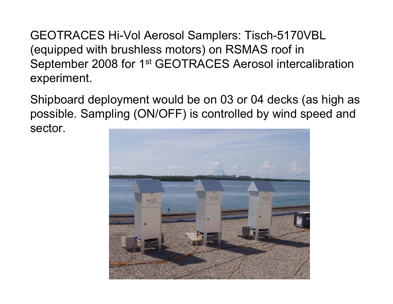GEOTRACES Hi-Vol Aerosol Samplers: Tisch-5170VBL (equipped with brushless motors) on RSMAS roof in September 2008 for 1st GEOTRACES Aerosol intercalibration experiment.

Shipboard deployment would be on 03 or 04 decks (as high as possible. Sampling (ON/OFF) is controlled by wind speed and sector.

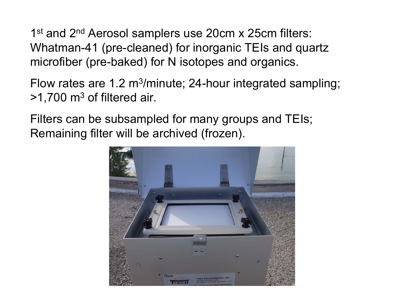1<sup>st</sup> and 2<sup>nd</sup> Aerosol samplers use 20cm x 25cm filters: Whatman-41 (pre-cleaned) for inorganic TEIs and quartz microfiber (pre-baked) for N isotopes and organics.

Flow rates are 1.2 m<sup>3</sup>/minute; 24-hour integrated sampling;  $>1,700$  m<sup>3</sup> of filtered air.

Filters can be subsampled for many groups and TEIs; Remaining filter will be archived (frozen).

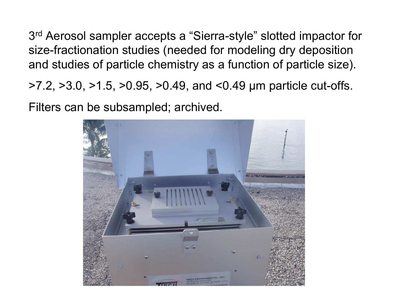3rd Aerosol sampler accepts a "Sierra-style" slotted impactor for size-fractionation studies (needed for modeling dry deposition and studies of particle chemistry as a function of particle size).

>7.2, >3.0, >1.5, >0.95, >0.49, and <0.49 μm particle cut-offs.

Filters can be subsampled; archived.

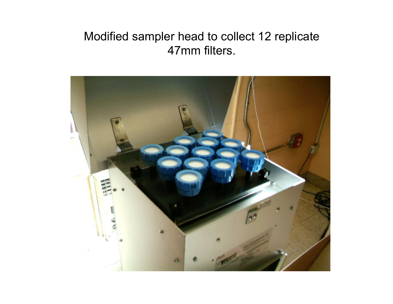#### Modified sampler head to collect 12 replicate 47mm filters.

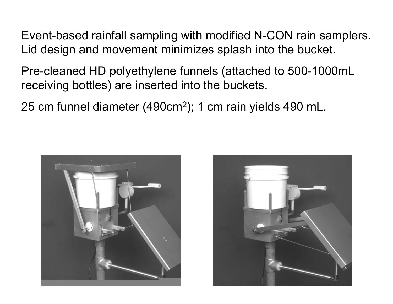Event-based rainfall sampling with modified N-CON rain samplers. Lid design and movement minimizes splash into the bucket.

- Pre-cleaned HD polyethylene funnels (attached to 500-1000mL receiving bottles) are inserted into the buckets.
- 25 cm funnel diameter (490cm<sup>2</sup>); 1 cm rain yields 490 mL.



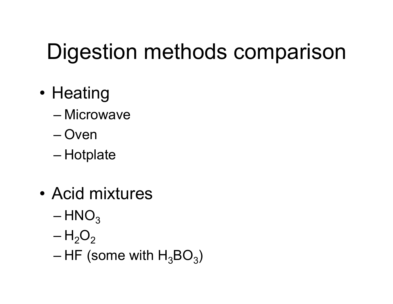# Digestion methods comparison

- •• Heating
	- Microwave
	- Oven
	- –– Hotplate
- • Acid mixtures
	- $-{\sf HNO}_3$
	- ${\sf H}_2{\sf O}_2$
	- – $-$  HF (some with  ${\sf H_3BO_3}$ )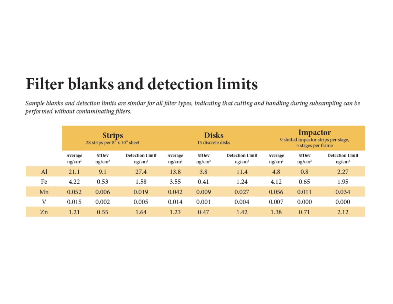#### **Filter blanks and detection limits**

Sample blanks and detection limits are similar for all filter types, indicating that cutting and handling during subsampling can be performed without contaminating filters.

|    | <b>Strips</b><br>28 strips per 8" x 10" sheet |                             |                                              | <b>Disks</b><br>13 discrete disks |                             |                                              | Impactor<br>9 slotted impactor strips per stage,<br>5 stages per frame |                             |                                              |
|----|-----------------------------------------------|-----------------------------|----------------------------------------------|-----------------------------------|-----------------------------|----------------------------------------------|------------------------------------------------------------------------|-----------------------------|----------------------------------------------|
|    | Average<br>ng/cm <sup>2</sup>                 | StDev<br>ng/cm <sup>2</sup> | <b>Detection Limit</b><br>ng/cm <sup>2</sup> | Average<br>ng/cm <sup>2</sup>     | StDev<br>ng/cm <sup>2</sup> | <b>Detection Limit</b><br>ng/cm <sup>2</sup> | Average<br>ng/cm <sup>2</sup>                                          | StDev<br>ng/cm <sup>2</sup> | <b>Detection Limit</b><br>ng/cm <sup>2</sup> |
| Al | 21.1                                          | 9.1                         | 27.4                                         | 13.8                              | 3.8                         | 11.4                                         | 4.8                                                                    | 0.8                         | 2.27                                         |
| Fe | 4.22                                          | 0.53                        | 1.58                                         | 3.55                              | 0.41                        | 1.24                                         | 4.12                                                                   | 0.65                        | 1.95                                         |
| Mn | 0.052                                         | 0.006                       | 0.019                                        | 0.042                             | 0.009                       | 0.027                                        | 0.056                                                                  | 0.011                       | 0.034                                        |
| V  | 0.015                                         | 0.002                       | 0.005                                        | 0.014                             | 0.001                       | 0.004                                        | 0.007                                                                  | 0.000                       | 0.000                                        |
| Zn | 1.21                                          | 0.55                        | 1.64                                         | 1.23                              | 0.47                        | 1.42                                         | 1.38                                                                   | 0.71                        | 2.12                                         |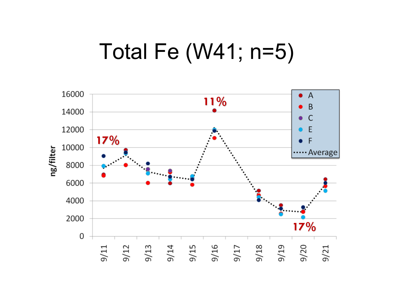### Total Fe (W41; n=5)

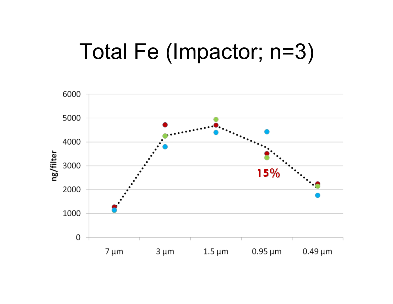# Total Fe (Impactor; n=3)

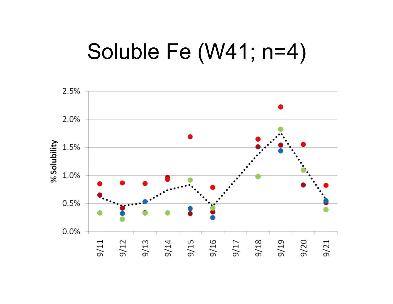#### Soluble Fe (W41; n=4)

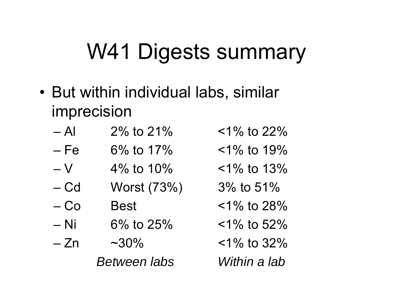# W41 Digests summary

- But within individual labs, similar imprecision
	- $-$  Al  $2\%$  to 21%
	- – $6\%$  to 17%
	- –V4\% to  $10\%$
	- –Worst  $(73%)$  3% to 51%
	- $-C<sub>O</sub>$
	- Ni  $6\%$  to 25%
	- $-\mathsf{Zn}$  $~1.30\%$ *Between labs Within a lab*
- $1\%$  to  $22\%$
- $1\%$  to 19%
- $1\%$  to 13%
- 
- $\text{Best}$  <1% to 28%
	- $1\%$  to 52%
	- $1\%$  to 32%
	-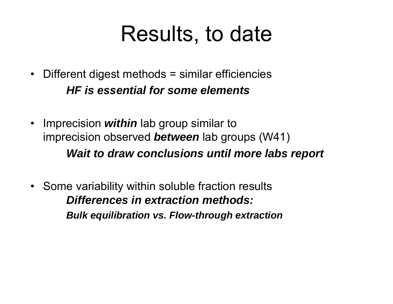#### Results, to date

- • Different digest methods = similar efficiencies *HF is essential for some elements*
- Imprecision *within* lab group similar to imprecision observed *between* lab groups (W41) *Wait to draw conclusions until more labs report*
- • Some variability within soluble fraction results *Differences in extraction methods:Bulk equilibration vs. Flow-through extraction*